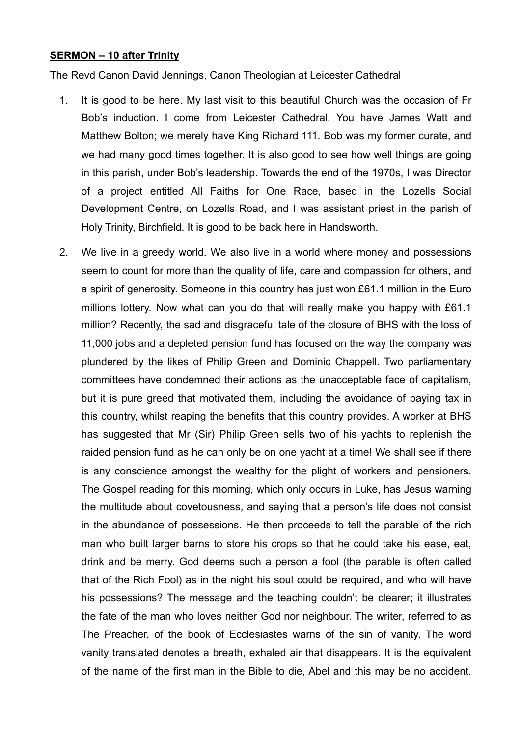## **SERMON – 10 after Trinity**

The Revd Canon David Jennings, Canon Theologian at Leicester Cathedral

- 1. It is good to be here. My last visit to this beautiful Church was the occasion of Fr Bob's induction. I come from Leicester Cathedral. You have James Watt and Matthew Bolton; we merely have King Richard 111. Bob was my former curate, and we had many good times together. It is also good to see how well things are going in this parish, under Bob's leadership. Towards the end of the 1970s, I was Director of a project entitled All Faiths for One Race, based in the Lozells Social Development Centre, on Lozells Road, and I was assistant priest in the parish of Holy Trinity, Birchfield. It is good to be back here in Handsworth.
- 2. We live in a greedy world. We also live in a world where money and possessions seem to count for more than the quality of life, care and compassion for others, and a spirit of generosity. Someone in this country has just won £61.1 million in the Euro millions lottery. Now what can you do that will really make you happy with £61.1 million? Recently, the sad and disgraceful tale of the closure of BHS with the loss of 11,000 jobs and a depleted pension fund has focused on the way the company was plundered by the likes of Philip Green and Dominic Chappell. Two parliamentary committees have condemned their actions as the unacceptable face of capitalism, but it is pure greed that motivated them, including the avoidance of paying tax in this country, whilst reaping the benefits that this country provides. A worker at BHS has suggested that Mr (Sir) Philip Green sells two of his yachts to replenish the raided pension fund as he can only be on one yacht at a time! We shall see if there is any conscience amongst the wealthy for the plight of workers and pensioners. The Gospel reading for this morning, which only occurs in Luke, has Jesus warning the multitude about covetousness, and saying that a person's life does not consist in the abundance of possessions. He then proceeds to tell the parable of the rich man who built larger barns to store his crops so that he could take his ease, eat, drink and be merry. God deems such a person a fool (the parable is often called that of the Rich Fool) as in the night his soul could be required, and who will have his possessions? The message and the teaching couldn't be clearer; it illustrates the fate of the man who loves neither God nor neighbour. The writer, referred to as The Preacher, of the book of Ecclesiastes warns of the sin of vanity. The word vanity translated denotes a breath, exhaled air that disappears. It is the equivalent of the name of the first man in the Bible to die, Abel and this may be no accident.